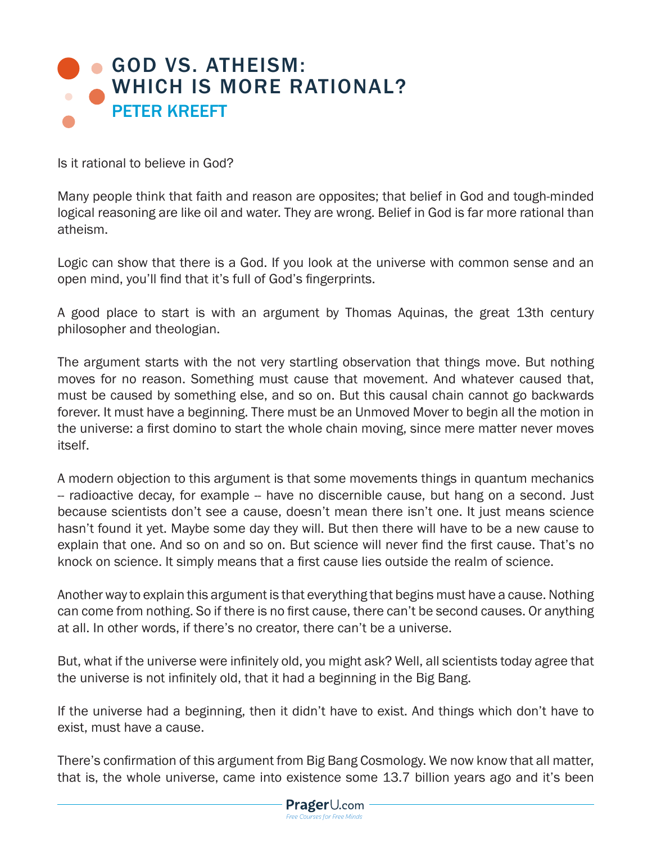## GOD VS. ATHEISM: WHICH IS MORE RATIONAL? PETER KREEFT

Is it rational to believe in God?

Many people think that faith and reason are opposites; that belief in God and tough-minded logical reasoning are like oil and water. They are wrong. Belief in God is far more rational than atheism.

Logic can show that there is a God. If you look at the universe with common sense and an open mind, you'll find that it's full of God's fingerprints.

A good place to start is with an argument by Thomas Aquinas, the great 13th century philosopher and theologian.

The argument starts with the not very startling observation that things move. But nothing moves for no reason. Something must cause that movement. And whatever caused that, must be caused by something else, and so on. But this causal chain cannot go backwards forever. It must have a beginning. There must be an Unmoved Mover to begin all the motion in the universe: a first domino to start the whole chain moving, since mere matter never moves itself.

A modern objection to this argument is that some movements things in quantum mechanics -- radioactive decay, for example -- have no discernible cause, but hang on a second. Just because scientists don't see a cause, doesn't mean there isn't one. It just means science hasn't found it yet. Maybe some day they will. But then there will have to be a new cause to explain that one. And so on and so on. But science will never find the first cause. That's no knock on science. It simply means that a first cause lies outside the realm of science.

Another way to explain this argument is that everything that begins must have a cause. Nothing can come from nothing. So if there is no first cause, there can't be second causes. Or anything at all. In other words, if there's no creator, there can't be a universe.

But, what if the universe were infinitely old, you might ask? Well, all scientists today agree that the universe is not infinitely old, that it had a beginning in the Big Bang.

If the universe had a beginning, then it didn't have to exist. And things which don't have to exist, must have a cause.

There's confirmation of this argument from Big Bang Cosmology. We now know that all matter, that is, the whole universe, came into existence some 13.7 billion years ago and it's been